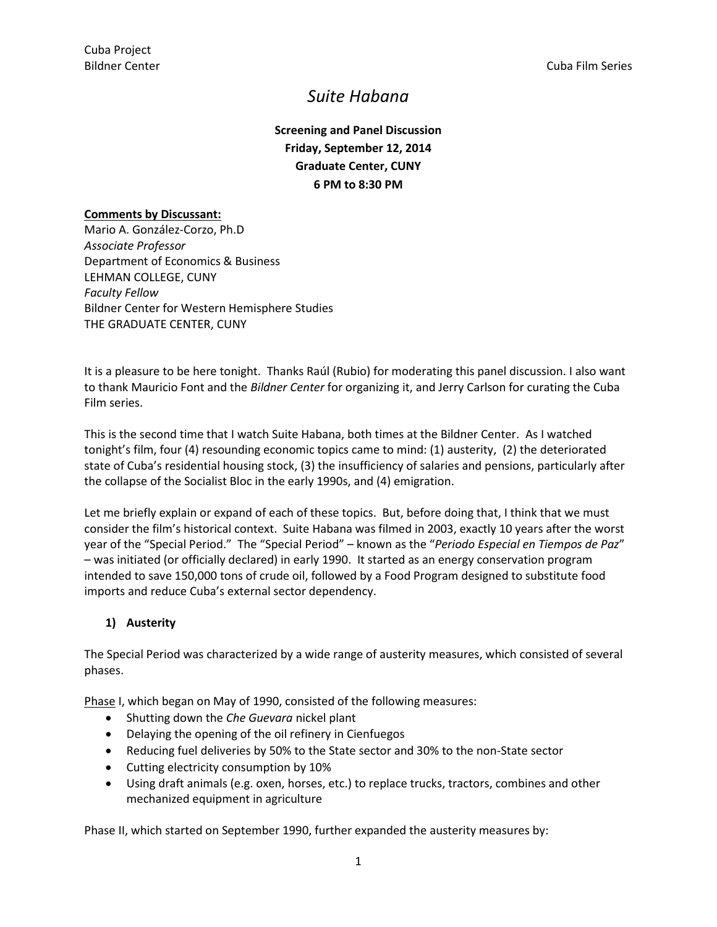# *Suite Habana*

**Screening and Panel Discussion Friday, September 12, 2014 Graduate Center, CUNY 6 PM to 8:30 PM**

#### **Comments by Discussant:**

Mario A. González-Corzo, Ph.D *Associate Professor* Department of Economics & Business LEHMAN COLLEGE, CUNY *Faculty Fellow* Bildner Center for Western Hemisphere Studies THE GRADUATE CENTER, CUNY

It is a pleasure to be here tonight. Thanks Raúl (Rubio) for moderating this panel discussion. I also want to thank Mauricio Font and the *Bildner Center* for organizing it, and Jerry Carlson for curating the Cuba Film series.

This is the second time that I watch Suite Habana, both times at the Bildner Center. As I watched tonight's film, four (4) resounding economic topics came to mind: (1) austerity, (2) the deteriorated state of Cuba's residential housing stock, (3) the insufficiency of salaries and pensions, particularly after the collapse of the Socialist Bloc in the early 1990s, and (4) emigration.

Let me briefly explain or expand of each of these topics. But, before doing that, I think that we must consider the film's historical context. Suite Habana was filmed in 2003, exactly 10 years after the worst year of the "Special Period." The "Special Period" – known as the "*Periodo Especial en Tiempos de Paz*" – was initiated (or officially declared) in early 1990. It started as an energy conservation program intended to save 150,000 tons of crude oil, followed by a Food Program designed to substitute food imports and reduce Cuba's external sector dependency.

## **1) Austerity**

The Special Period was characterized by a wide range of austerity measures, which consisted of several phases.

Phase I, which began on May of 1990, consisted of the following measures:

- Shutting down the *Che Guevara* nickel plant
- Delaying the opening of the oil refinery in Cienfuegos
- Reducing fuel deliveries by 50% to the State sector and 30% to the non-State sector
- Cutting electricity consumption by 10%
- Using draft animals (e.g. oxen, horses, etc.) to replace trucks, tractors, combines and other mechanized equipment in agriculture

Phase II, which started on September 1990, further expanded the austerity measures by: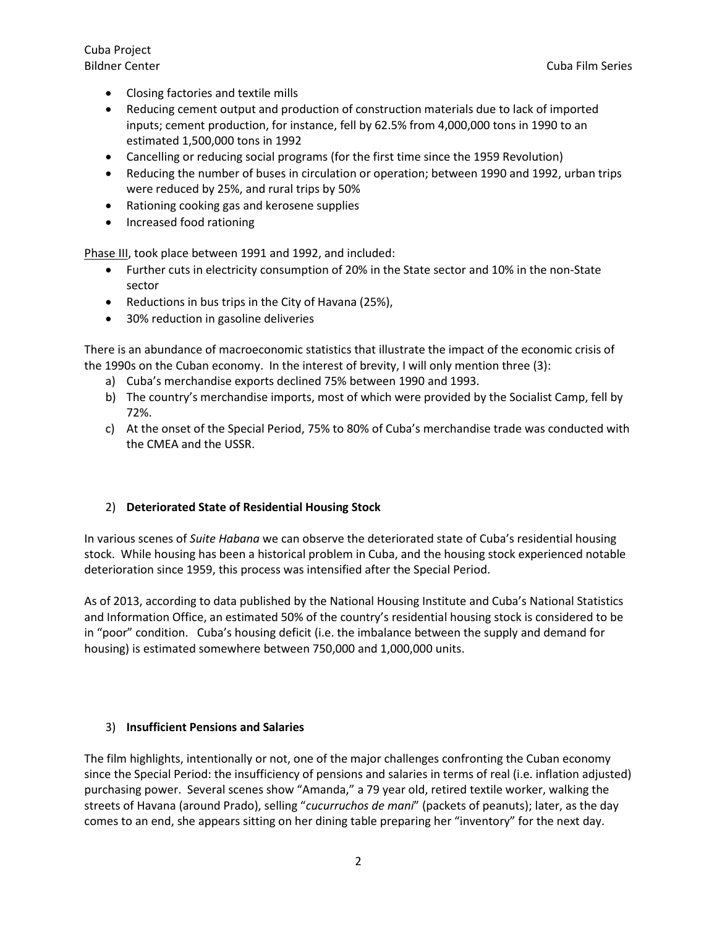Cuba Project

- Closing factories and textile mills
- Reducing cement output and production of construction materials due to lack of imported inputs; cement production, for instance, fell by 62.5% from 4,000,000 tons in 1990 to an estimated 1,500,000 tons in 1992
- Cancelling or reducing social programs (for the first time since the 1959 Revolution)
- Reducing the number of buses in circulation or operation; between 1990 and 1992, urban trips were reduced by 25%, and rural trips by 50%
- Rationing cooking gas and kerosene supplies
- Increased food rationing

Phase III, took place between 1991 and 1992, and included:

- Further cuts in electricity consumption of 20% in the State sector and 10% in the non-State sector
- Reductions in bus trips in the City of Havana (25%),
- 30% reduction in gasoline deliveries

There is an abundance of macroeconomic statistics that illustrate the impact of the economic crisis of the 1990s on the Cuban economy. In the interest of brevity, I will only mention three (3):

- a) Cuba's merchandise exports declined 75% between 1990 and 1993.
- b) The country's merchandise imports, most of which were provided by the Socialist Camp, fell by 72%.
- c) At the onset of the Special Period, 75% to 80% of Cuba's merchandise trade was conducted with the CMEA and the USSR.

#### 2) **Deteriorated State of Residential Housing Stock**

In various scenes of *Suite Habana* we can observe the deteriorated state of Cuba's residential housing stock. While housing has been a historical problem in Cuba, and the housing stock experienced notable deterioration since 1959, this process was intensified after the Special Period.

As of 2013, according to data published by the National Housing Institute and Cuba's National Statistics and Information Office, an estimated 50% of the country's residential housing stock is considered to be in "poor" condition. Cuba's housing deficit (i.e. the imbalance between the supply and demand for housing) is estimated somewhere between 750,000 and 1,000,000 units.

#### 3) **Insufficient Pensions and Salaries**

The film highlights, intentionally or not, one of the major challenges confronting the Cuban economy since the Special Period: the insufficiency of pensions and salaries in terms of real (i.e. inflation adjusted) purchasing power. Several scenes show "Amanda," a 79 year old, retired textile worker, walking the streets of Havana (around Prado), selling "*cucurruchos de mani*" (packets of peanuts); later, as the day comes to an end, she appears sitting on her dining table preparing her "inventory" for the next day.